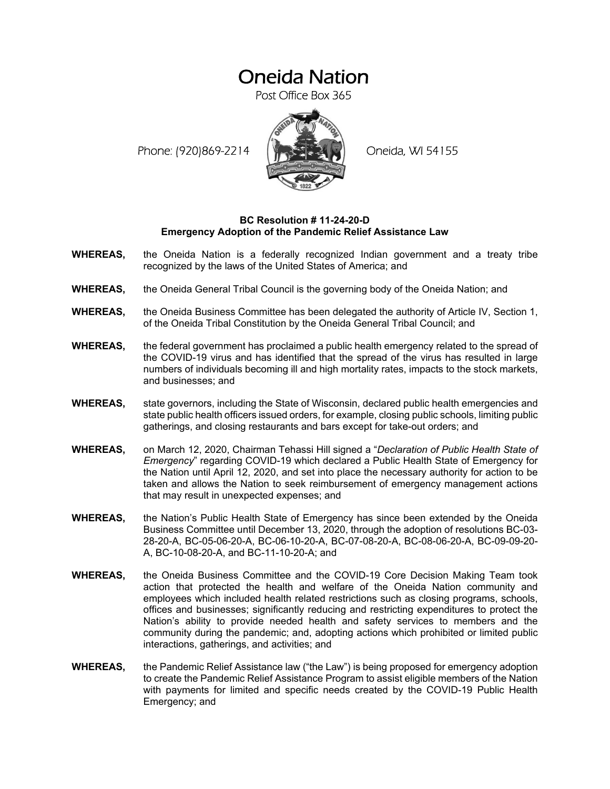## Oneida Nation

Post Office Box 365

Phone: (920)869-2214 (XXXXXXX) Oneida, WI 54155



## **BC Resolution # 11-24-20-D Emergency Adoption of the Pandemic Relief Assistance Law**

- **WHEREAS,** the Oneida Nation is a federally recognized Indian government and a treaty tribe recognized by the laws of the United States of America; and
- **WHEREAS,** the Oneida General Tribal Council is the governing body of the Oneida Nation; and
- **WHEREAS,** the Oneida Business Committee has been delegated the authority of Article IV, Section 1, of the Oneida Tribal Constitution by the Oneida General Tribal Council; and
- **WHEREAS,** the federal government has proclaimed a public health emergency related to the spread of the COVID-19 virus and has identified that the spread of the virus has resulted in large numbers of individuals becoming ill and high mortality rates, impacts to the stock markets, and businesses; and
- **WHEREAS,** state governors, including the State of Wisconsin, declared public health emergencies and state public health officers issued orders, for example, closing public schools, limiting public gatherings, and closing restaurants and bars except for take-out orders; and
- **WHEREAS,** on March 12, 2020, Chairman Tehassi Hill signed a "*Declaration of Public Health State of Emergency*" regarding COVID-19 which declared a Public Health State of Emergency for the Nation until April 12, 2020, and set into place the necessary authority for action to be taken and allows the Nation to seek reimbursement of emergency management actions that may result in unexpected expenses; and
- **WHEREAS,** the Nation's Public Health State of Emergency has since been extended by the Oneida Business Committee until December 13, 2020, through the adoption of resolutions BC-03- 28-20-A, BC-05-06-20-A, BC-06-10-20-A, BC-07-08-20-A, BC-08-06-20-A, BC-09-09-20- A, BC-10-08-20-A, and BC-11-10-20-A; and
- **WHEREAS,** the Oneida Business Committee and the COVID-19 Core Decision Making Team took action that protected the health and welfare of the Oneida Nation community and employees which included health related restrictions such as closing programs, schools, offices and businesses; significantly reducing and restricting expenditures to protect the Nation's ability to provide needed health and safety services to members and the community during the pandemic; and, adopting actions which prohibited or limited public interactions, gatherings, and activities; and
- **WHEREAS,** the Pandemic Relief Assistance law ("the Law") is being proposed for emergency adoption to create the Pandemic Relief Assistance Program to assist eligible members of the Nation with payments for limited and specific needs created by the COVID-19 Public Health Emergency; and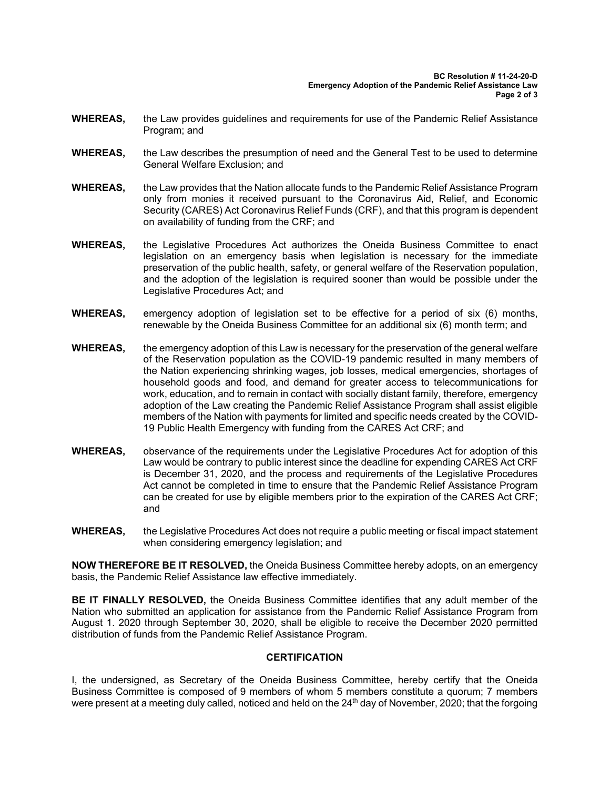- **WHEREAS,** the Law provides guidelines and requirements for use of the Pandemic Relief Assistance Program; and
- **WHEREAS,** the Law describes the presumption of need and the General Test to be used to determine General Welfare Exclusion; and
- **WHEREAS,** the Law provides that the Nation allocate funds to the Pandemic Relief Assistance Program only from monies it received pursuant to the Coronavirus Aid, Relief, and Economic Security (CARES) Act Coronavirus Relief Funds (CRF), and that this program is dependent on availability of funding from the CRF; and
- **WHEREAS,** the Legislative Procedures Act authorizes the Oneida Business Committee to enact legislation on an emergency basis when legislation is necessary for the immediate preservation of the public health, safety, or general welfare of the Reservation population, and the adoption of the legislation is required sooner than would be possible under the Legislative Procedures Act; and
- **WHEREAS,** emergency adoption of legislation set to be effective for a period of six (6) months, renewable by the Oneida Business Committee for an additional six (6) month term; and
- **WHEREAS,** the emergency adoption of this Law is necessary for the preservation of the general welfare of the Reservation population as the COVID-19 pandemic resulted in many members of the Nation experiencing shrinking wages, job losses, medical emergencies, shortages of household goods and food, and demand for greater access to telecommunications for work, education, and to remain in contact with socially distant family, therefore, emergency adoption of the Law creating the Pandemic Relief Assistance Program shall assist eligible members of the Nation with payments for limited and specific needs created by the COVID-19 Public Health Emergency with funding from the CARES Act CRF; and
- **WHEREAS,** observance of the requirements under the Legislative Procedures Act for adoption of this Law would be contrary to public interest since the deadline for expending CARES Act CRF is December 31, 2020, and the process and requirements of the Legislative Procedures Act cannot be completed in time to ensure that the Pandemic Relief Assistance Program can be created for use by eligible members prior to the expiration of the CARES Act CRF; and
- **WHEREAS,** the Legislative Procedures Act does not require a public meeting or fiscal impact statement when considering emergency legislation; and

**NOW THEREFORE BE IT RESOLVED,** the Oneida Business Committee hereby adopts, on an emergency basis, the Pandemic Relief Assistance law effective immediately.

**BE IT FINALLY RESOLVED,** the Oneida Business Committee identifies that any adult member of the Nation who submitted an application for assistance from the Pandemic Relief Assistance Program from August 1. 2020 through September 30, 2020, shall be eligible to receive the December 2020 permitted distribution of funds from the Pandemic Relief Assistance Program.

## **CERTIFICATION**

I, the undersigned, as Secretary of the Oneida Business Committee, hereby certify that the Oneida Business Committee is composed of 9 members of whom 5 members constitute a quorum; 7 members were present at a meeting duly called, noticed and held on the 24<sup>th</sup> day of November, 2020; that the forgoing